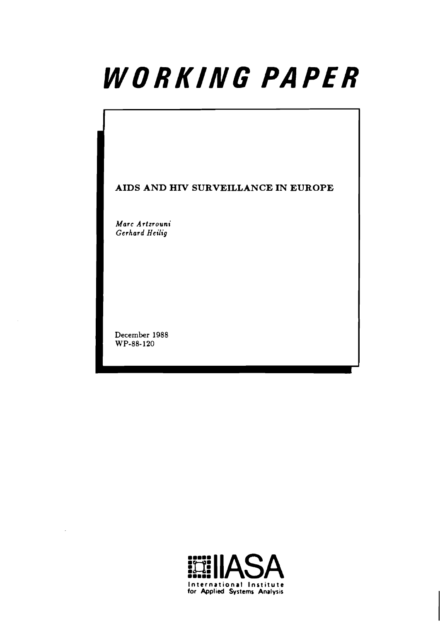# WORKING PAPER

**AIDS AND HIV SURVEILLANCE IN EUROPE** 

**Marc Artzrouni Gerhard** *Heilig* 

**December 1988 WP-88-120** 

 $\bar{\gamma}$ 

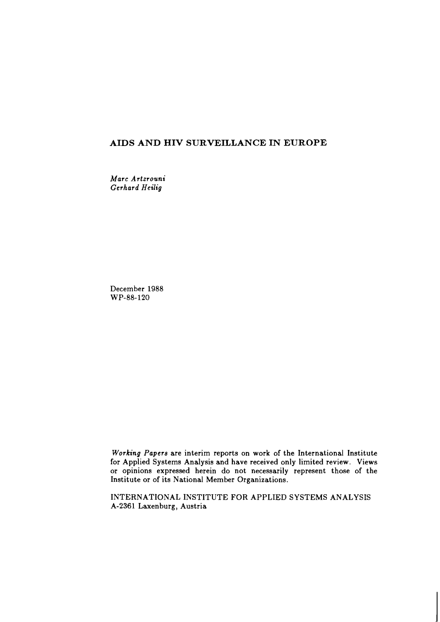# **AIDS AND HIV SURVEILLANCE IN EUROPE**

*Marc Artzrouni Gerhard Heilig* 

December 1988 WP-88-120

*Working Papers* are interim reports on work of the International Institute for Applied Systems Analysis and have received only limited review. Views or opinions expressed herein do not necessarily represent those of the Institute or of its National Member Organizations.

INTERNATIONAL INSTITUTE FOR APPLIED SYSTEMS ANALYSIS A-2361 Laxenburg, Austria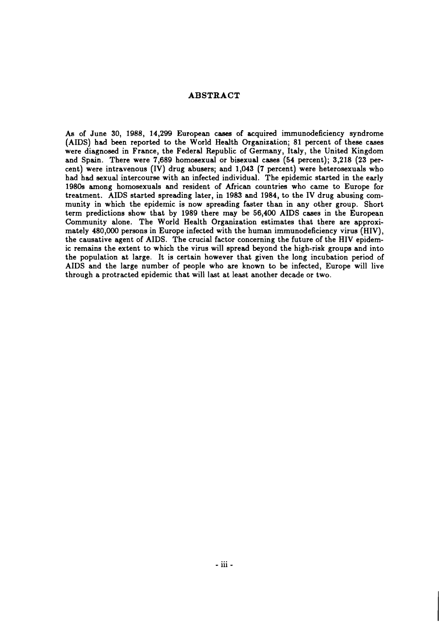## **ABSTRACT**

As of June 30, 1988, 14,299 European cases of acquired immunodeficiency syndrome (AIDS) had been reported to the World Health Organization; 81 percent of these cases were diagnosed in France, the Federal Republic of Germany, Italy, the United Kingdom and Spain. There were 7,689 homosexual or bisexual cases (54 percent); 3,218 (23 percent) were intravenous (IV) drug abusers; and 1,043 (7 percent) were heterosexuals who had had sexual intercourse with an infected individual. The epidemic started in the early 19809 among homosexuals and resident of African countries who came to Europe for treatment. AIDS started spreading later, in 1983 and 1984, to the IV drug abusing community in which the epidemic is now spreading faster than in any other group. Short term predictions show that by 1989 there may be 56,400 AIDS cases in the European Community alone. The World Health Organization estimates that there are approximately 480,000 persons in Europe infected with the human immunodeficiency virus (HIV), the causative agent of AIDS. The crucial factor concerning the future of the HIV epidemic remains the extent to which the virus will spread beyond the high-risk groups and into the population at large. It is certain however that given the long incubation period of AIDS and the large number of people who are known to be infected, Europe will live through a protracted epidemic that will last at least another decade or two.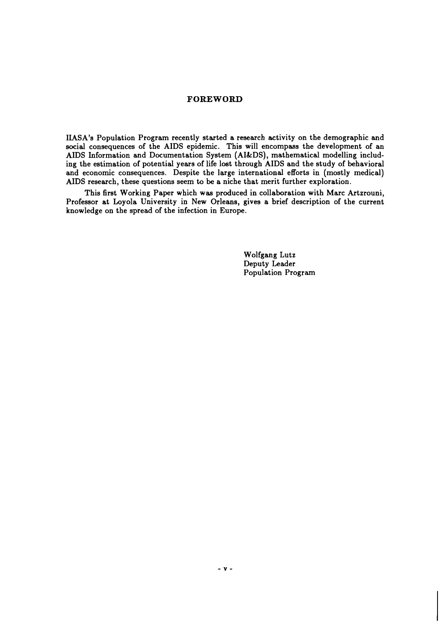## **FOREWORD**

IIASA's Population Program recently started a research activity on the demographic and social consequences of the AIDS epidemic. This will encompass the development of an AIDS Information and Documentation System (AIkDS), mathematical modelling including the estimation of potential years of life lost through AIDS and the study of behavioral and economic consequences. Despite the large international efforts in (mostly medical) AIDS research, these questions seem to be a niche that merit further exploration.

This first Working Paper which was produced in collaboration with Marc Artzrouni, Professor at Loyola University in New Orleans, gives a brief description of the current knowledge on the spread of the infection in Europe.

> Wolfgang Lutz Deputy Leader Population Program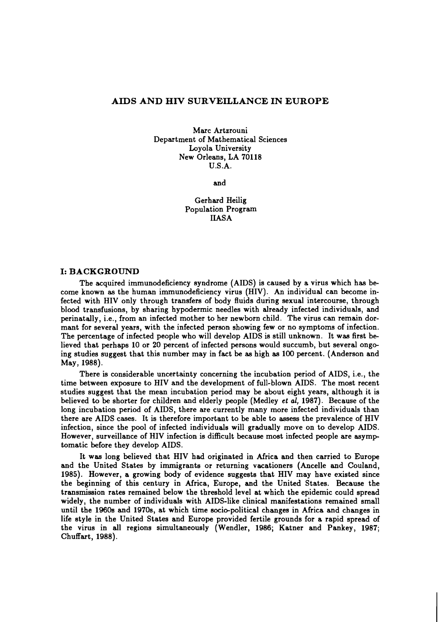## **AIDS AND HIV SURVEILLANCE IN EUROPE**

Marc Artzrouni Department of Mathematical Sciences Loyola University New Orleans, LA 70118 U.S.A.

and

Gerhard Heilig Population Program IIASA

## **I: BACKGROUND**

The acquired immunodeficiency syndrome (AIDS) is caused by a virus which has become known as the human immunodeficiency virus (HIV). An individual can become infected with HIV only through transfers of body fluids during sexual intercourse, through blood transfusions, by sharing hypodermic needles with already infected individuals, and perinatally, i.e., from an infected mother to her newborn child. The virus can remain dormant for several years, with the infected person showing few or no symptoms of infection. The percentage of infected people who will develop AIDS is still unknown. It was first believed that perhaps 10 or 20 percent of infected persons would succumb, but several ongoing studies suggest that this number may in fact be as high as 100 percent. (Anderson and May, 1988).

There is considerable uncertainty concerning the incubation period of AIDS, i.e., the time between exposure to HIV and the development of full-blown AIDS. The most recent studies suggest that the mean incubation period may be about eight years, although it is believed to be shorter for children and elderly people (Medley et *al,* 1987). Because of the long incubation period of AIDS, there are currently many more infected individuals than there are AIDS cases. It is therefore important to be able to assess the prevalence of HIV infection, since the pool of infected individuals will gradually move on to develop AIDS. However, surveillance of HIV infection is difficult because most infected people are asymp tomatic before they develop AIDS.

It was long believed that HIV had originated in Africa and then carried to Europe and the United States by immigrants or returning vacationers (Ancelle and Couland, 1985). However, a growing body of evidence suggests that HIV may have existed since the beginning of this century in Africa, Europe, and the United States. Because the transmission rates remained below the threshold level at which the epidemic could spread widely, the number of individuals with AIDS-like clinical manifestations remained small until the 1960s and 1970s, at which time socio-political changes in Africa and changes in life style in the United States and Europe provided fertile grounds for a rapid spread of the virus in all regions simultaneously (Wendler, 1986; Katner and Pankey, 1987; Chuffart, 1988).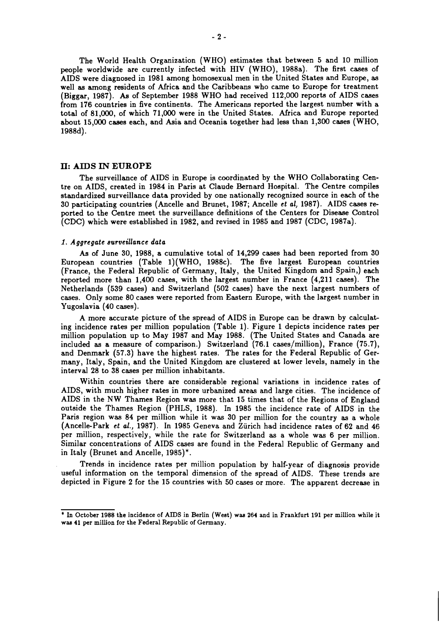The World Health Organization (WHO) estimates that between 5 and 10 million people worldwide are currently infected with HIV (WHO), 1988a). The first cases of AIDS were diagnosed in 1981 among homosexual men in the United States and Europe, as well as among residents of Africa and the Caribbeans who came to Europe for treatment (Biggar, 1987). **As** of September 1988 WHO had received 112,000 reports of AIDS cases from 176 countries in five continents. The Americans reported the largest number with a total of 81,000, of which 71,000 were in the United States. Africa and Europe reported about 15,000 cases each, and Asia and Oceania together had less than 1,300 cases (WHO, 1988d).

#### **I.: AIDS IN EUROPE**

The surveillance of AIDS in Europe is coordinated by the WHO Collaborating Centre on AIDS, created in 1984 in Paris at Claude Bernard Hospital. The Centre compiles standardized surveillance data provided by one nationally recognized source in each of the 30 participating countries (Ancelle and Brunet, 1987; Ancelle *et all* 1987). AIDS cases reported to the Centre meet the surveillance definitions of the Centers for Disease Control (CDC) which were established in 1982, and revised in 1985 and 1987 (CDC, 1987a).

#### *1. Aggregate surveillance data*

As of June 30, 1988, a cumulative total of 14,299 cases had been reported from 30 European countries (Table 1)(WHO, 1988c). The five largest European countries (France, the Federal Republic of Germany, Italy, the United Kingdom and Spain,) each reported more than 1,400 cases, with the largest number in France (4,211 cases). The Netherlands (539 cases) and Switzerland (502 cases) have the next largest numbers of cases. Only some 80 cases were reported from Eastern Europe, with the largest number in Yugoslavia (40 cases).

A more accurate picture of the spread of AIDS in Europe can be drawn by calculating incidence rates per million population (Table 1). Figure 1 depicts incidence rates per million population up to May 1987 and May 1988. (The United States and Canada are included as a measure of comparison.) Switzerland  $(76.1 \text{ cases/million})$ , France  $(75.7)$ , and Denmark (57.3) have the highest rates. The rates for the Federal Republic of Germany, Italy, Spain, and the United Kingdom are clustered at lower levels, namely in the interval 28 to 38 cases per million inhabitants.

Within countries there are considerable regional variations in incidence rates of AIDS, with much higher rates in more urbanized areas and large cities. The incidence of AIDS in the NW Thames Region was more that 15 times that of the Regions of England outside the Thames Region (PHLS, 1988). In 1985 the incidence rate of AIDS in the Paris region was 84 per million while it was 30 per million for the country as a whole (Ancelle-Park *et al.,* 1987). In 1985 Geneva and Ziirich had incidence rates of 62 and 46 per million, respectively, while the rate for Switzerland as a whole was 6 per million. Similar concentrations of AIDS cases are found in the Federal Republic of Germany and in Italy (Brunet and Ancelle, 1985)\*.

Trends in incidence rates per million population by half-year of diagnosis provide useful information on the temporal dimension of the spread of AIDS. These trends are depicted in Figure 2 for the 15 countries with 50 cases or more. The apparent decrease in

<sup>\*</sup> **In October 1988 the incidence of AIDS in Berlin (Weat) waa 264 and in Frankfurt 191 per million while it waa 41 per million for the Federal Republic of Germany.**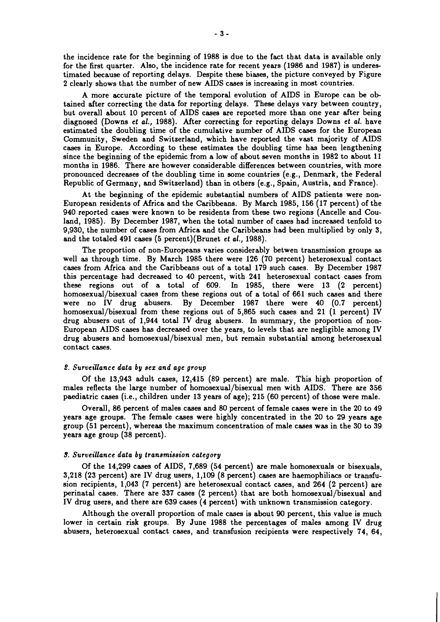the incidence rate for the beginning of 1988 is due to the fact that data is available only for the first quarter. Also, the incidence rate for recent years (1986 and 1987) is underestimated because of reporting delays. Despite these biases, the picture conveyed by Figure 2 clearly shows that the number of new AIDS cases is increasing in most countries.

A more accurate picture of the temporal evolution of AIDS in Europe can be obtained after correcting the data for reporting delays. These delays vary between country, but overall about 10 percent of AIDS cases are reported more than one year after being diagnosed (Downs **et al.,** 1988). After correcting for reporting delays Downs **et al.** have estimated the doubling time of the cumulative number of AIDS cases for the European Community, Sweden and Switzerland, which have reported the vast majority of AIDS cases in Europe. According to these estimates the doubling time has been lengthening since the beginning of the epidemic from a low of about seven months in 1982 to about 11 months in 1986. There are however considerable differences between countries, with more pronounced decreases of the doubling time in some countries (e.g., Denmark, the Federal Republic of Germany, and Switzerland) than in others (e.g., Spain, Austria, and France).

At the beginning of the epidemic substantial numbers of AIDS patients were non-European residents of Africa and the Caribbeans. By March 1985, 156 (17 percent) of the 940 reported cases were known to be residents from these two regions (Ancelle and Couland, 1985). By December 1987, when the total number of cases had increased tenfold to 9,930, the number of cases from Africa and the Caribbeans had been multiplied by only 3, and the totaled 491 cases (5 percent)(Brunet **et al.,** 1988).

The proportion of non-Europeans varies considerably betwen transmission groups as well as through time. By March 1985 there were 126 (70 percent) heterosexual contact cases from Africa and the Caribbeans out of a total 179 such cases. By December 1987 this percentage had decreased to 40 percent, with 241 heterosexual contact cases from these regions out of a total of 609. In 1985, there were 13 (2 percent) homosexual/bisexual cases from these regions out of a total of 661 such cases and there were no IV drug abusers. By December 1987 there were 40 (0.7 percent) homosexual/bisexual from these regions out of 5,865 such cases and 21 (1 percent) IV drug abusers out of 1,944 total IV drug abusers. **In** summary, the proportion of non-European AIDS cases has decreased over the years, to levels that are negligible among IV drug abusers and homosexual/bisexual men, but remain substantial among heterosexual contact cases.

#### **2. Surveillance data by eez and age group**

Of the 13,943 adult cases, 12,415 (89 percent) are male. This high proportion of males reflects the large number of homosexual/bisexual men with AIDS. There are 356 paediatric cases (i.e., children under 13 years of age); 215 (60 percent) of those were male.

Overall, 86 percent of males cases and 80 percent of female cases were in the 20 to 49 years age groups. The female cases were highly concentrated in the 20 to 29 years age group (51 percent), whereas the maximum concentration of male cases was in the 30 to 39 years age group (38 percent).

#### **9. Surveillance data by tranemieeion category**

Of the 14,299 cases of AIDS, 7,689 (54 percent) are male homosexuals or bisexuals, 3,218 (23 percent) are IV drug users, 1,109 (8 percent) cases are haemophiliacs or transfusion recipients, 1,043 (7 percent) are heterosexual contact cases, and 264 (2 percent) are perinatal cases. There are 337 cases (2 percent) that are both homosexual/bisexual and IV drug users, and there are 639 cases (4 percent) with unknown transmission category.

Although the overall proportion of male cases is about 90 percent, this value is much lower in certain risk groups. By June 1988 the percentages of males among IV drug abusers, heterosexual contact cases, and transfusion recipients were respectively 74, 64,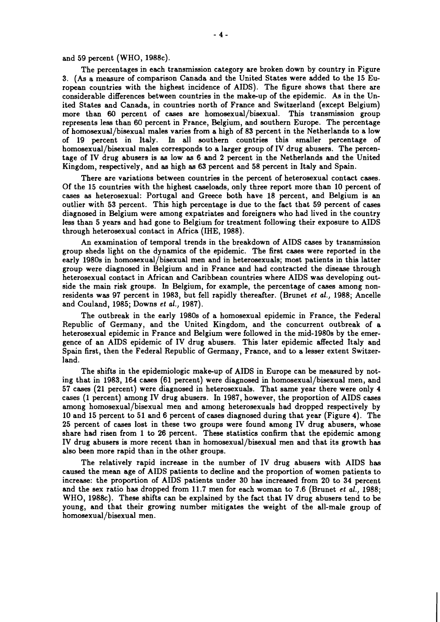and 59 percent (WHO, 1988c).

The percentages in each transmission category are broken down by country in Figure 3. (As a measure of comparison Canada and the United States were added to the 15 European countries with the highest incidence of AIDS). The figure shows that there are considerable differences between countries in the make-up of the epidemic. As in the United States and Canada, in countries north of France and Switzerland (except Belgium) more than 60 percent of cases are homosexual/bisexual. This transmission group represents less than 60 percent in France, Belgium, and aouthern Europe. The percentage of homosexual/bisexual males varies from a high of 83 percent in the Netherlands to a low of 19 percent in Italy. In all aouthern countries this smaller percentage of homosexual/bisexual males corresponds to a larger group of IV drug abusers. The percentage of IV drug abusers is as low as 6 and 2 percent in the Netherlands and the United Kingdom, respectively, and as high as 63 percent and 58 percent in Italy and Spain.

There are variations between countries in the percent of heterosexual contact cases. Of the 15 countries with the highest caseloads, only three report more than 10 percent of cases as heterosexual: Portugal and Greece both have 18 percent, and Belgium is an outlier with 53 percent. This high percentage is due to the fact that 59 percent of cases diagnosed in Belgium were among expatriates and foreigners who had lived in the country less than 5 years and had gone to Belgium for treatment following their exposure to AIDS through heterosexual contact in Africa (IHE, 1988).

An examination of temporal trends in the breakdown of AIDS cases by transmission group sheds light on the dynamics of the epidemic. The first cases were reported in the early 1980s in homosexual/bisexual men and in heterosexuals; most patients in this latter group were diagnosed in Belgium and in France and had contracted the disease through heterosexual contact in African and Caribbean countries where AIDS was developing outside the main risk groups. In Belgium, for example, the percentage of cases among nonresidents was 97 percent in 1983, but fell rapidly thereafter. (Brunet **et** *al.,* 1988; Ancelle and Couland, 1985; Downs **et** *al.,* 1987).

The outbreak in the early 1980s of a homosexual epidemic in France, the Federal Republic of Germany, and the United Kingdom, and the concurrent outbreak of a heterosexual epidemic in France and Belgium were followed in the mid-1980s by the emergence of an AIDS epidemic of IV drug abusers. This later epidemic affected Italy and Spain first, then the Federal Republic of Germany, France, and to a lesser extent Switzerland.

The shifts in the epidemiologic make-up of AIDS in Europe can be measured by noting that in 1983, 164 cases (61 percent) were diagnosed in homosexual/bisexual men, and 57 cases (21 percent) were diagnosed in heterosexuals. That same year there were only 4 cases (1 percent) among IV drug abusers. In 1987, however, the proportion of AIDS cases among homosexual/bisexual men and among heterosexuals had dropped respectively by 10 and 15 percent to 51 and 6 percent of cases diagnosed during that year (Figure 4). The 25 percent of cases lost in these two groups were found among IV drug abusers, whose share had risen from 1 to 26 percent. These statistics confirm that the epidemic among IV drug abusers is more recent than in homosexual/bisexual men and that its growth has also been more rapid than in the other groups.

The relatively rapid increase in the number of IV drug abusers with AIDS has caused the mean age of AIDS patients to decline and the proportion of women patients to increase: the proportion of AIDS patients under 30 has increased from 20 to 34 percent and the sex ratio has dropped from 11.7 men for each woman to 7.6 (Brunet **et** *al.,* 1988; WHO, 1988c). These shifts can be explained by the fact that IV drug abusers tend to be young, and that their growing number mitigates the weight of the all-male group of homosexual/bisexual men.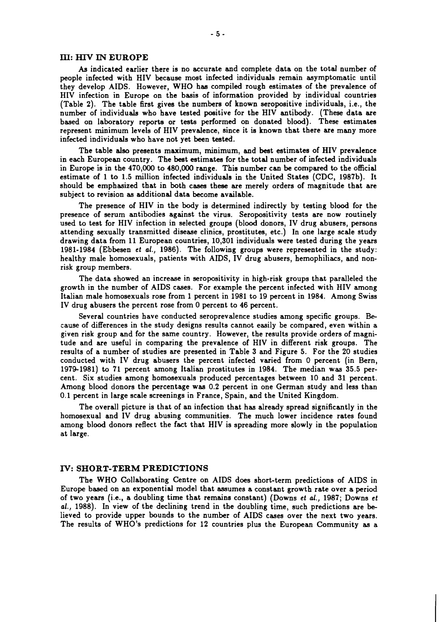#### III: **HIV IN EUROPE**

As indicated earlier there is no accurate and complete data on the total number of people infected with HIV because most infected individuals remain asymptomatic until they develop AIDS. However, WHO haa compiled rough estimates of the prevalence of HIV infection in Europe on the basis of information provided by individual countries (Table 2). The table first gives the numbers of known seropositive individuals, i.e., the number of individuals who have tested positive for the HIV antibody. (These data are based on laboratory reports or tests performed on donated blood). These estimates represent minimum levels of HIV prevalence, since it is known that there are many more infected individuals who have not yet been tested.

The table also presents maximum, minimum, and best estimates of HIV prevalence in each European country. The best estimates for the total number of infected individuals in Europe is in the 470,000 to 480,000 range. This number can be compared to the official estimate of 1 to 1.5 million infected individuals in the United States (CDC, 1987b). It should be emphasized that in both cases these are merely orders of magnitude that are subject to revision as additional data become available.

The presence of HIV in the body is determined indirectly by testing blood for the presence of serum antibodies against the virus. Seropositivity tests are now routinely used to test for HIV infection in selected groups (blood donors, IV drug abusers, persons attending sexually transmitted disease clinics, prostitutes, etc.) In one large scale study drawing data from 11 European countries, 10,301 individuals were tested during the years 1981-1984 (Ebbesen **et al.,** 1986). The following groups were represented in the study: healthy male homosexuals, patients with AIDS, IV drug abusers, hemophiliacs, and nonrisk group members.

The data showed an increase in seropositivity in high-risk groups that paralleled the growth in the number of AIDS cases. For example the percent infected with HIV among Italian male homosexuals rose from 1 percent in 1981 to 19 percent in 1984. Among Swiss IV drug abusers the percent rose from 0 percent to 46 percent.

Several countries have conducted seroprevalence studies among specific groups. Because of differences in the study designs results cannot easily be compared, even within a given risk group and for the same country. However, the results provide orders of magnitude and are useful in comparing the prevalence of HIV in different risk groups. The results of a number of studies are presented in Table 3 and Figure 5. For the 20 studies conducted with IV drug abusers the percent infected varied from 0 percent (in Bern, 19741981) to 71 percent among Italian prostitutes in 1984. The median was 35.5 percent. Six studies among homosexuals produced percentages between 10 and 31 percent. Among blood donors the percentage was 0.2 percent in one German study and less than 0.1 percent in large scale screenings in France, Spain, and the United Kingdom.

The overall picture is that of an infection that has already spread significantly in the homosexual and IV drug abusing communities. The much lower incidence rates found among blood donors reflect the fact that HIV is spreading more slowly in the population at large.

#### **N: SHORT-TERM PREDICTIONS**

The WHO Collaborating Centre on AIDS does short-term predictions of AIDS in Europe based on an exponential model that assumes a constant growth rate over a period of two years (i.e., a doubling time that remains constant) (Downs **et al.,** 1987; Downs **et al.,** 1988). In view of the declining trend in the doubling time, such predictions are believed to provide upper bounds to the number of AIDS cases over the next two years. The results of WHO's predictions for 12 countries plus the European Community as a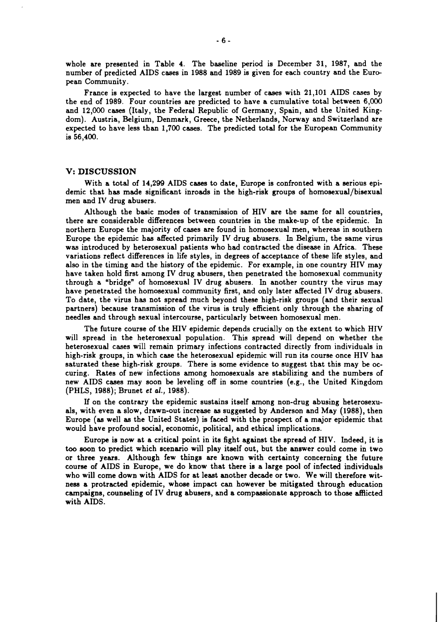whole are presented in Table 4. The baseline period is December 31, 1987, and the number of predicted AIDS cases in 1988 and 1989 is given for each country and the European Community.

France is expected to have the largest number of cases with 21,101 AIDS cases by the end of 1989. Four countries are predicted to have a cumulative total between 6,000 and 12,000 cases (Italy, the Federal Republic of Germany, Spain, and the United Kingdom). Austria, Belgium, Denmark, Greece, the Netherlands, Norway and Switzerland are expected to have less than 1,700 cases. The predicted total for the European Community is 56,400.

#### **V: DISCUSSION**

With a total of 14,299 AIDS cases to date, Europe is confronted with a serious epidemic that has made significant inroads in the high-risk groups of homosexual/bisexual men and IV drug abusers.

Although the basic modes of transmission of HIV are the same for all countries, there are considerable differences between countries in the make-up of the epidemic. In northern Europe the majority of cases are found in homosexual men, whereas in southern Europe the epidemic has affected primarily IV drug abusers. In Belgium, the same virus was introduced by heterosexual patients who had contracted the disease in Africa. These variations reflect differences in life styles, in degrees of acceptance of these life styles, and also in the timing and the history of the epidemic. For example, in one country HIV may have taken hold first among IV drug abusers, then penetrated the homosexual community through a "bridge" of homosexual IV drug abusers. In another country the virus may have penetrated the homosexual community first, and only later affected IV drug abusers. To date, the virus has not spread much beyond these high-risk groups (and their sexual partners) because transmission of the virus is truly efficient only through the sharing of needles and through sexual intercourse, particularly between homosexual men.

The future course of the HIV epidemic depends crucially on the extent to which HIV will spread in the heterosexual population. This spread will depend on whether the heterosexual cases will remain primary infections contracted directly from individuals in high-risk groups, in which case the heterosexual epidemic will run its course once HIV has saturated these high-risk groups. There is some evidence to suggest that this may be occuring. Rates of new infections among homosexuals are stabilizing and the numbers of new AIDS cases may soon be leveling off in some countries (e.g., the United Kingdom (PHLS, 1988); Brunet **et** al., 1988).

If on the contrary the epidemic sustains itself among non-drug abusing heterosexuals, with even a slow, drawn-out increase **aa** suggested by Anderson and May (1988), then Europe (as well as the United States) is faced with the prospect of a major epidemic that would have profound social, economic, political, and ethical implications.

Europe is now at a critical point in its fight against the spread of HIV. Indeed, it is too soon to predict which scenario will play itself out, but the answer could come in two or three years. Although few things are known with certainty concerning the future course of AIDS in Europe, we do know that there is a large pool of infected individuals who will come down with AIDS for at least another decade or two. We will therefore witness a protracted epidemic, whose impact can however be mitigated through education campaigns, counseling of IV drug abusers, and a compassionate approach to those afflicted with AIDS.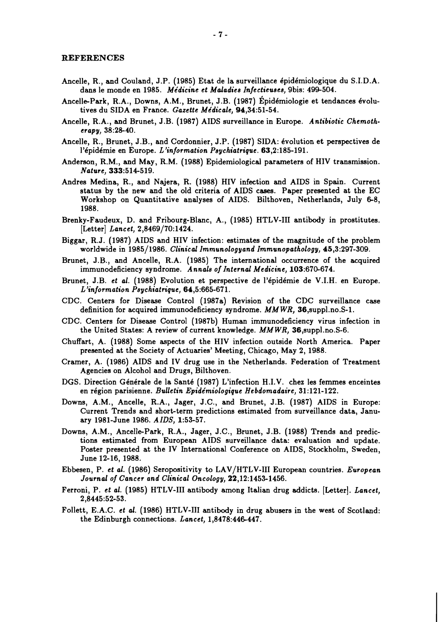#### **REFERENCES**

- Ancelle, R., and Couland, J.P. (1985) Etat de la surveillance épidémiologique du S.I.D.A. dans le monde en 1985. Médicine et Maladies Infectieuses, 9bis: 499-504.
- Ancelle-Park, R.A., Downs, A.M., Brunet, J.B. (1987) Épidémiologie et tendances évolutives du SIDA en France. *Gazette Médicale*, 94,34:51-54.
- Ancelle, R.A., and Brunet, J.B. (1987) AIDS surveillance in Europe. *Antibiotic Chemotherapy,* 38:2&40.
- Ancelle, R., Brunet, J.B., and Cordonnier, J.P. (1987) SIDA: évolution et perspectives de l'épidémie en Europe. L'information Psychiatrique. 63,2:185-191.
- Anderson, R.M., and May, R.M. (1988) Epidemiological parameters of HIV transmission. *Nature,* 333:514-519.
- Andres Medina, R., and Najera, R. (1988) HIV infection and AIDS in Spain. Current status by the new and the old criteria of AIDS cases. Paper presented at the EC Workshop on Quantitative analyses of AIDS. Bilthoven, Netherlands, July 6-8, 1988.
- Brenky-Faudeux, D. and Fribourg-Blanc, A., (1985) HTLV-I11 antibody in prostitutes. [Letter] *Lancet,* 2,8469/70:1424.
- Biggar, R.J. (1987) AIDS and HIV infection: estimates of the magnitude of the problem worldwide in 1985/1986. *Clinical Immunologyand Immunopathology,* 45,3:297-309.
- Brunet, J.B., and Ancelle, R.A. (1985) The international occurrence of the acquired immunodeficiency syndrome. *A nnals of Internal Medicine,* 103:670-674.
- Brunet, J.B. *et al.* (1988) Evolution et perspective de l'épidémie de V.I.H. en Europe. *L'information Psychiatrique,* 64,5:665-671.
- CDC. Centers for Disease Control (1987a) Revision of the CDC surveillance case definition for acquired immunodeficiency syndrome. *MMWR,* 36,suppl.no.S-1.
- CDC. Centers for Disease Control (1987b) Human immunodeficiency virus infection in the United States: A review of current knowledge. *MM WR,* 36,suppl.no.S-6.
- Chuffart, A. (1988) Some aspects of the HIV infection outside North America. Paper presented at the Society of Actuaries' Meeting, Chicago, May 2, 1988.
- Cramer, A. (1986) AIDS and IV drug use in the Netherlands. Federation of Treatment Agencies on Alcohol and Drugs, Bilthoven.
- DGS. Direction Générale de la Santé (1987) L'infection H.I.V. chez les femmes enceintes en region parisienne. *Bulletin Epide'miologique Hebdomadaire,* 31:121-122.
- Downs, A.M., Ancelle, R.A., Jager, J.C., and Brunet, J.B. (1987) AIDS in Europe: Current Trends and short-term predictions estimated from surveillance data, January 1981-June 1986. *AIDS,* 1:53-57.
- Downs, A.M., Ancelle-Park, R.A., Jager, J.C., Brunet, J.B. (1988) Trends and predictions estimated from European AIDS surveillance data: evaluation and update. Poster presented at the IV International Conference on AIDS, Stockholm, Sweden, June 12-16, 1988.
- Ebbesen, P. *et al.* (1986) Seropositivity to LAV/HTLV-I11 European countries. *European Journal of Cancer and Clinical Oncology,* 22,12:1453-1456.
- Ferroni, P. *et al.* (1985) HTLV-I11 antibody among Italian drug addicts. [Letter]. *Lancet,*  2,8445:52-53.
- Follett, E.A.C. *et al.* (1986) HTLV-III antibody in drug abusers in the west of Scotland: the Edinburgh connections. *Lancet*, 1,8478:446-447.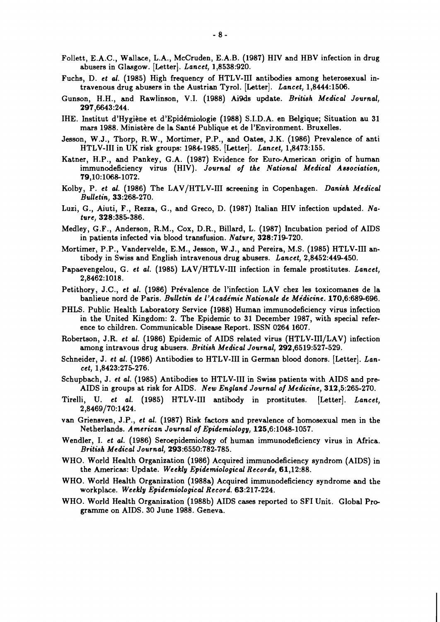- Follett, E.A.C., Wallace, L.A., McCruden, E.A.B. (1987) HIV and HBV infection in drug abusers in Glasgow. [Letter]. *Lancet,* 1,8538:920.
- Fuchs, D. *et al.* (1985) High frequency of HTLV-III antibodies among heterosexual intravenous drug abusers in the Austrian Tyrol. [Letter]. *Lancet,* 1,8444:1506.
- Gunson, H.H., and Rawlinson, V.I. (1988) Ai9ds update. *Britieh Medical Journal,*  297,6643:244.
- IHE. Institut d'Hygiène et d'Epidémiologie (1988) S.I.D.A. en Belgique; Situation au 31 mars 1988. Ministère de la Santé Publique et de l'Environment. Bruxelles.
- Jesson, W.J., Thorp, R.W., Mortimer, P.P., and Oates, J.K. (1986) Prevalence of anti HTLV-I11 in UK risk groups: 1984-1985. [Letter]. *Lancet,* 1,8473:155.
- Katner, H.P., and Pankey, G.A. (1987) Evidence for Euro-American origin of human immunodeficiency virus (HIV). *Journal of the National Medical Aseociation,*  79,10:106&1072.
- Kolby, P. *et al.* (1986) The LAV/HTLV-III screening in Copenhagen. *Danish Medical Bulletin,* 33:268-270.
- Luzi, G., Aiuti, F., Rezza, G., and Greco, D. (1987) Italian HIV infection updated. *Nature,* 328:385-386.
- Medley, G.F., Anderson, R.M., Cox, D.R., Billard, L. (1987) Incubation period of AIDS in patients infected via blood transfusion. *Nature,* 328:719-720.
- Mortimer, P.P., Vandervelde, E.M., Jesson, W.J., and Pereira, M.S. (1985) HTLV-I11 antibody in Swiss and English intravenous drug abusers. *Lancet,* 2,8452:449-450.
- Papaevengelou, G. *et al.* (1985) LAV/HTLV-III infection in female prostitutes. Lancet, 2,8462:1018.
- Petithory, J.C., *et al.* (1986) Prévalence de l'infection LAV chez les toxicomanes de la banlieue nord de Paris. *Bulletin de 1'Acadimie Nationale de Midicine.* 170,6:689-696.
- PHLS. Public Health Laboratory Service (1988) Human immunodeficiency virus infection in the United Kingdom: 2. The Epidemic to 31 December 1987, with special reference to children. Communicable Disease Report. ISSN 0264 1607.
- Robertson, J.R. *et al.* (1986) Epidemic of AIDS related virus (HTLV-III/LAV) infection among intravous drug abusers. *British Medical Journal,* 292,6519:527-529.
- Schneider, J. *et al.* (1986) Antibodies to HTLV-III in German blood donors. [Letter]. *Lancet,* 1,8423:275-276.
- Schupbach, J. *et al.* (1985) Antibodies to HTLV-I11 in Swiss patients with AIDS and pre-AIDS in groups at risk for AIDS. *New England Journal of Medicine,* 312,5:265-270.
- Tirelli, U. *et al.* (1985) HTLV-I11 antibody in prostitutes. [Letter]. *Lancet,*  2,8469/70:1424.
- van Griensven, J.P., *et al.* (1987) Risk factors and prevalence of homosexual men in the Netherlands. *American Journal of Epidemiology,* 125,6:1048-1057.
- Wendler, I. *et al.* (1986) Seroepidemiology of human immunodeficiency virus in Africa. *British Medical Journal,* 293:6550:782-785.
- WHO. World Health Organization (1986) Acquired immunodeficiency syndrom (AIDS) in the Americas: Update. *Weekly Epidemiological Records,* 61,12:88.
- WHO. World Health Organization (1988a) Acquired immunodeficiency syndrome and the workplace. *Weekly Epidemiological Record.* 63:217-224.
- WHO. World Health Organization (1988b) AIDS cases reported to SF1 Unit. Global Programme on AIDS. 30 June 1988. Geneva.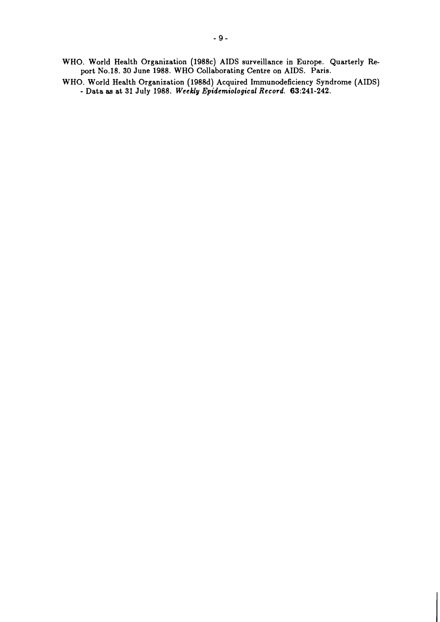**WHO. World Health Organization (1988~) AIDS surveillance in Europe. Quarterly Report N0.18. 30 June 1988. WHO Collaborating Centre on AIDS. Paris.** 

**WHO. World Health Organization (1988d) Acquired Immunodeficiency Syndrome (AIDS)**  - **Data as at 31 July 1988.** *Weekly Epidemiological Record.* **63:241-242.**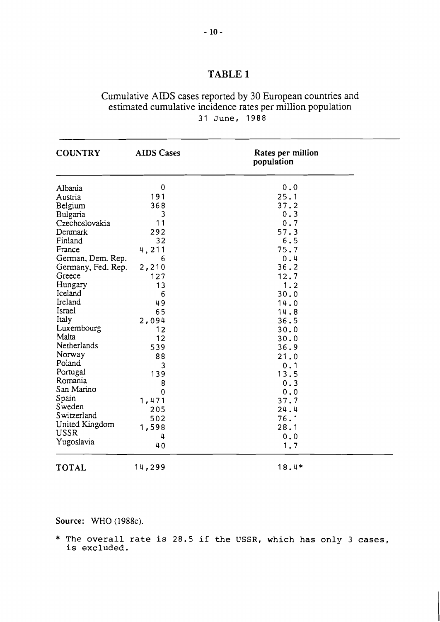# Cumulative AIDS cases reported by 30 European countries and estimated cumulative incidence rates per million population **31 June, 1988**

| <b>COUNTRY</b>     | <b>AIDS Cases</b> | Rates per million<br>population |  |  |
|--------------------|-------------------|---------------------------------|--|--|
| Albania            | 0                 | 0.0                             |  |  |
| Austria            | 191               | 25.1                            |  |  |
| Belgium            | 368               | 37.2                            |  |  |
| Bulgaria           | 3                 | 0.3                             |  |  |
| Czechoslovakia     | 11                | 0.7                             |  |  |
| Denmark            | 292               | 57.3                            |  |  |
| Finland            | 32                | 6.5                             |  |  |
| France             | 4,211             | 75.7                            |  |  |
| German, Dem. Rep.  | 6                 | 0.4                             |  |  |
| Germany, Fed. Rep. | 2,210             | 36.2                            |  |  |
| Greece             | 127               | 12.7                            |  |  |
| Hungary            | 13                | 1.2                             |  |  |
| Iceland            | 6                 | 30.0                            |  |  |
| Ireland            | 49                | 14.0                            |  |  |
| Israel             | 65                | 14.8                            |  |  |
| Italy              | 2,094             | 36.5                            |  |  |
| Luxembourg         | 12                | 30.0                            |  |  |
| Malta              | 12                | 30.0                            |  |  |
| Netherlands        | 539               | 36.9                            |  |  |
| Norway             | 88                | 21.0                            |  |  |
| Poland             | 3                 | 0.1                             |  |  |
| Portugal           | 139               | 13.5                            |  |  |
| Romania            | 8                 | 0.3                             |  |  |
| San Marino         | 0                 | 0.0                             |  |  |
| Spain              | 1,471             | 37.7                            |  |  |
| Sweden             | 205               | 24.4                            |  |  |
| Switzerland        |                   |                                 |  |  |
| United Kingdom     | 502<br>1,598      | 76.1<br>28.1                    |  |  |
| <b>USSR</b>        |                   |                                 |  |  |
| Yugoslavia         | 4                 | 0.0                             |  |  |
|                    | 40                | 1.7                             |  |  |
| <b>TOTAL</b>       | 14,299            | 18.4*                           |  |  |

**Source:** WHO (1988c).

\* **The overall rate is 28.5 if the USSR, which has only 3 cases, is excluded.**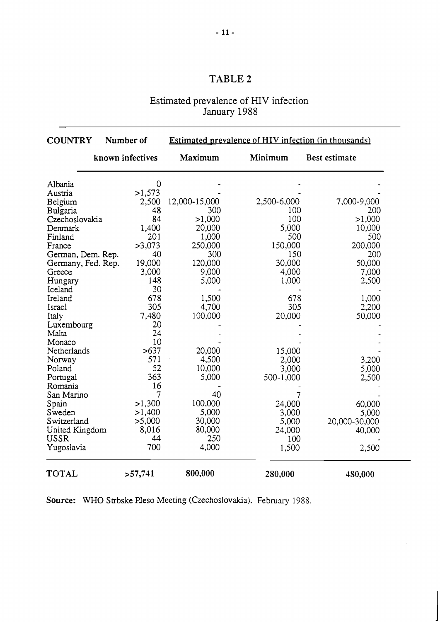# Estimated prevalence of HIV infection January 1988

| <b>COUNTRY</b>     | Number of        | <b>Estimated prevalence of HIV infection (in thousands)</b> |             |                      |  |  |
|--------------------|------------------|-------------------------------------------------------------|-------------|----------------------|--|--|
|                    | known infectives | Maximum                                                     | Minimum     | <b>Best estimate</b> |  |  |
| Albania            | $\overline{0}$   |                                                             |             |                      |  |  |
| Austria            | >1,573           |                                                             |             |                      |  |  |
| Belgium            | 2,500            | 12,000-15,000                                               | 2,500-6,000 | 7,000-9,000          |  |  |
| Bulgaria           | 48               | 300                                                         | 100         | 200                  |  |  |
| Czechoslovakia     | 84               | >1,000                                                      | 100         | >1,000               |  |  |
| Denmark            | 1,400            | 20,000                                                      | 5,000       | 10,000               |  |  |
| Finland            | 201              | 1,000                                                       | 500         | 500                  |  |  |
| France             | >3,073           | 250,000                                                     | 150,000     | 200,000              |  |  |
| German, Dem. Rep.  | 40               | 300                                                         | 150         | 200                  |  |  |
| Germany, Fed. Rep. | 19,000           | 120,000                                                     | 30,000      | 50,000               |  |  |
| Greece             | 3,000            | 9,000                                                       | 4,000       | 7,000                |  |  |
| Hungary            | 148              | 5,000                                                       | 1,000       | 2,500                |  |  |
| Iceland            | 30               |                                                             |             |                      |  |  |
| Ireland            | 678              | 1,500                                                       | 678         | 1,000                |  |  |
| Israel             | 305              | 4,700                                                       | 305         | 2,200                |  |  |
| Italy              | 7,480            | 100,000                                                     | 20,000      | 50,000               |  |  |
| Luxembourg         | 20               |                                                             |             |                      |  |  |
| Malta              | 24               |                                                             |             |                      |  |  |
| Monaco             | 10               |                                                             |             |                      |  |  |
| Netherlands        | >637             | 20,000                                                      | 15,000      |                      |  |  |
| Norway             | 571              | 4,500                                                       | 2,000       | 3,200                |  |  |
| Poland             | 52               | 10,000                                                      | 3,000       | 5,000                |  |  |
| Portugal           | 363              | 5,000                                                       | 500-1,000   | 2,500                |  |  |
| Romania            | 16               |                                                             |             |                      |  |  |
| San Marino         | 7                | 40                                                          |             |                      |  |  |
| Spain              | >1,300           | 100,000                                                     | 24,000      | 60,000               |  |  |
| Sweden             | >1,400           | 5,000                                                       | 3,000       | 5,000                |  |  |
| Switzerland        | >5,000           | 30,000                                                      | 5,000       | 20,000-30,000        |  |  |
| United Kingdom     | 8,016            | 80,000                                                      | 24,000      | 40,000               |  |  |
| <b>USSR</b>        | 44               | 250                                                         | 100         |                      |  |  |
| Yugoslavia         | 700              | 4,000                                                       | 1,500       | 2,500                |  |  |
| <b>TOTAL</b>       | >57,741          | 800,000                                                     | 280,000     | 480,000              |  |  |

Source: WHO Strbske Pleso Meeting (Czechoslovakia). February 1988.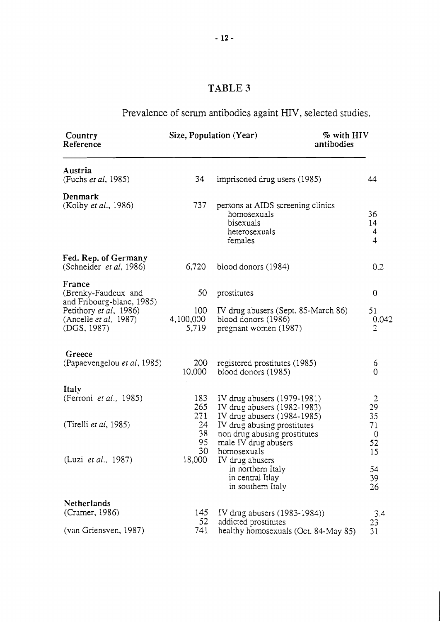# Prevalence of serum antibodies againt HIV, selected studies.

| Country<br>Reference                                                                                                                 |                                 | Size, Population (Year)<br>% with HIV<br>antibodies                                                                               |                                    |
|--------------------------------------------------------------------------------------------------------------------------------------|---------------------------------|-----------------------------------------------------------------------------------------------------------------------------------|------------------------------------|
| Austria<br>(Fuchs et al, 1985)                                                                                                       | 34                              | imprisoned drug users (1985)                                                                                                      | 44                                 |
| Denmark<br>(Kolby et al., 1986)                                                                                                      | 737                             | persons at AIDS screening clinics<br>homosexuals<br>bisexuals<br>heterosexuals<br>females                                         | 36<br>14<br>4<br>$\overline{4}$    |
| Fed. Rep. of Germany<br>(Schneider et al, 1986)                                                                                      | 6,720                           | blood donors (1984)                                                                                                               | 0.2                                |
| France<br>(Brenky-Faudeux and<br>and Fribourg-blanc, 1985)<br>Petithory et al, 1986)<br>(Ancelle <i>et al</i> , 1987)<br>(DGS, 1987) | 50<br>100<br>4,100,000<br>5,719 | prostitutes<br>IV drug abusers (Sept. 85-March 86)<br>blood donors (1986)<br>pregnant women (1987)                                | 0<br>51<br>0.042<br>$\overline{2}$ |
| Greece<br>(Papaevengelou et al, 1985)                                                                                                | 200<br>10,000                   | registered prostitutes (1985)<br>blood donors (1985)                                                                              | 6<br>0                             |
| Italy<br>(Ferroni et al., 1985)                                                                                                      | 183<br>265                      | IV drug abusers $(1979-1981)$<br>IV drug abusers $(1982-1983)$                                                                    | $rac{2}{29}$                       |
| (Tirelli et al, 1985)                                                                                                                | 271<br>24<br>38<br>95<br>30     | IV drug abusers (1984-1985)<br>IV drug abusing prostitutes<br>non drug abusing prostitutes<br>male IV drug abusers<br>homosexuals | 35<br>71<br>0<br>52<br>15          |
| (Luzi et al., 1987)                                                                                                                  | 18,000                          | IV drug abusers<br>in northern Italy<br>in central Itlay<br>in southern Italy                                                     | 54<br>39<br>26                     |
| Netherlands<br>(Cramer, 1986)<br>(van Griensven, 1987)                                                                               | 145<br>52<br>741                | IV drug abusers (1983-1984))<br>addicted prostitutes<br>healthy homosexuals (Oct. 84-May 85)                                      | 3.4<br>23<br>31                    |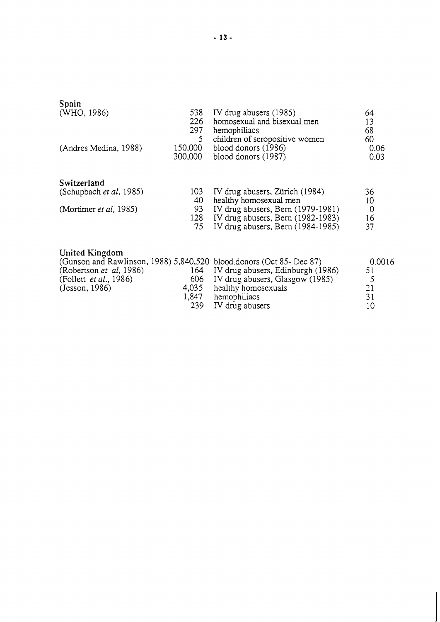| Spain<br>(WHO, 1986)                                 | 538<br>226<br>297 | IV drug abusers (1985)<br>homosexual and bisexual men<br>hemophiliacs | 64<br>13<br>68 |
|------------------------------------------------------|-------------------|-----------------------------------------------------------------------|----------------|
| (Andres Medina, 1988)                                | 5                 | children of seropositive women                                        | 60             |
|                                                      | 150,000           | blood donors (1986)                                                   | 0.06           |
|                                                      | 300,000           | blood donors (1987)                                                   | 0.03           |
| Switzerland                                          |                   |                                                                       |                |
| (Schupbach et al, 1985)                              | 103               | IV drug abusers, Zürich (1984)                                        | 36             |
|                                                      | 40                | healthy homosexual men                                                | 10             |
| (Mortimer et al, 1985)                               | 93                | IV drug abusers, Bern (1979-1981)                                     | 0              |
|                                                      | 128               | IV drug abusers, Bern (1982-1983)                                     | 16             |
|                                                      | 75                | IV drug abusers, Bern (1984-1985)                                     | 37             |
| United Kingdom<br>$\sim$ $\sim$ $\sim$ $\sim$ $\sim$ |                   | (Gunson and Rawlinson, 1988) 5,840,520 blood donors (Oct 85- Dec 87)  | 0.001          |

| <b>CHILCA IZHILCANII</b>       |       |                                                                      |        |
|--------------------------------|-------|----------------------------------------------------------------------|--------|
|                                |       | (Gunson and Rawlinson, 1988) 5,840,520 blood donors (Oct 85- Dec 87) | 0.0016 |
| (Robertson <i>et al.</i> 1986) |       | 164 IV drug abusers, Edinburgh (1986)                                | 51     |
| (Follett <i>et al.</i> , 1986) |       | 606 IV drug abusers, Glasgow (1985)                                  | ↖      |
| (Jesson, 1986)                 |       | 4,035 healthy homosexuals                                            | 21     |
|                                | 1.847 | hemophiliacs                                                         | 31     |
|                                |       | 239 IV drug abusers                                                  | 10     |
|                                |       |                                                                      |        |

 $\sim 10^7$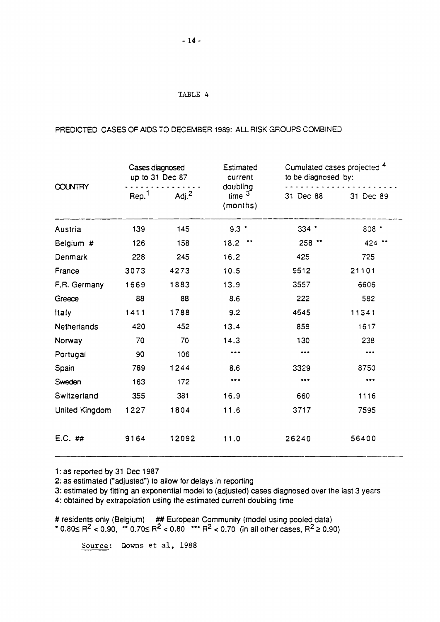## PREDICTED CASES OF AIDS TO DECEMBER 1989: **AU** RISK GROUPS COMBINED

| <b>COUNTRY</b>     | Cases diagnosed<br>up to 31 Dec 87 |          | Estimated<br>current                 |           | Cumulated cases projected 4<br>to be diagnosed by: |  |
|--------------------|------------------------------------|----------|--------------------------------------|-----------|----------------------------------------------------|--|
|                    | $\mathsf{Rep}^1$                   | Adj. $2$ | doubling<br>time $3^{-}$<br>(months) | 31 Dec 88 | 31 Dec 89                                          |  |
| Austria            | 139                                | 145      | $9.3$ $*$                            | 334:      | $808 -$                                            |  |
| Belgium #          | 126                                | 158      | 18.2                                 | $258$ **  | 424 **                                             |  |
| Denmark            | 228                                | 245      | 16.2                                 | 425       | 725                                                |  |
| France             | 3073                               | 4273     | 10.5                                 | 9512      | 21101                                              |  |
| F.R. Germany       | 1669                               | 1883     | 13.9                                 | 3557      | 6606                                               |  |
| Greece             | 88                                 | 88       | 8.6                                  | 222       | 582                                                |  |
| Italy              | 1411                               | 1788     | 9.2                                  | 4545      | 11341                                              |  |
| <b>Netherlands</b> | 420                                | 452      | 13.4                                 | 859       | 1617                                               |  |
| Norway             | 70                                 | 70       | 14.3                                 | 130       | 238                                                |  |
| Portugal           | 90                                 | 106      |                                      |           |                                                    |  |
| Spain              | 789                                | 1244     | 8.6                                  | 3329      | 8750                                               |  |
| Sweden             | 163                                | 172      | $\bullet\bullet\bullet$              |           | $$                                                 |  |
| Switzerland        | 355                                | 381      | 16.9                                 | 660       | 1116                                               |  |
| United Kingdom     | 1227                               | 1804     | 11.6                                 | 3717      | 7595                                               |  |
| $E.C.$ ##          | 9164                               | 12092    | 11.0                                 | 26240     | 56400                                              |  |

1: as reported by 31 Dec 1987

2: as estimated ("adjusted") to allow for delays in reporting

3: estimated by fitting an exponential model to (adjusted) cases diagnosed over the last 3 years

4: obtained by extrapolation using the estimated current doubling time

# residents only (Belgium) ## European Community (model using pooled data) ' 0.801 R2 **c** 0.90, 0.701 R2 c 0.80 "' R~ < 0.70 (in all other cases, R2 **2** 0.90)

Source: **Downs et al, 1988**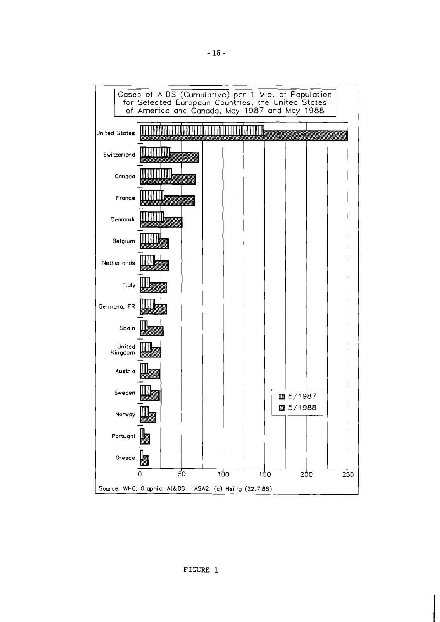

**FIGURE** 1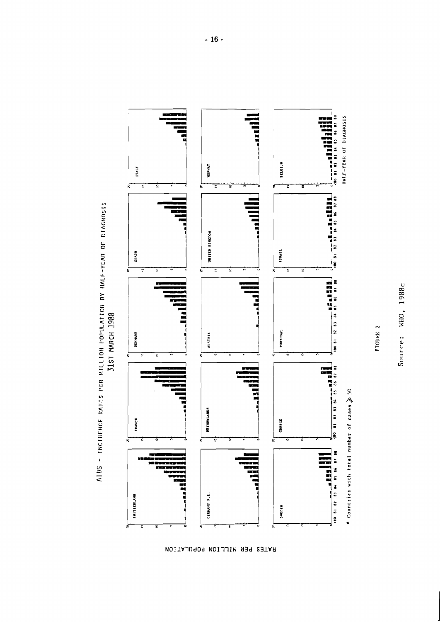

AIDS - INCIDENCE RATES PER MILLION POPULATION BY HALF-YEAR OF DIAGNOSIS

RATES PER MILLION POPULATION

Source: WHO, 1988c

FIGURE 2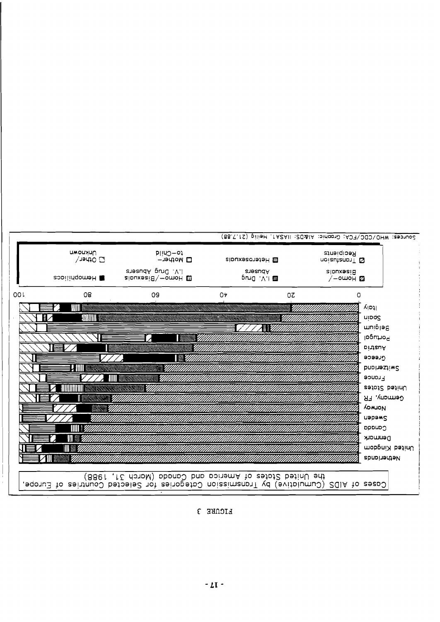FIGURE 3

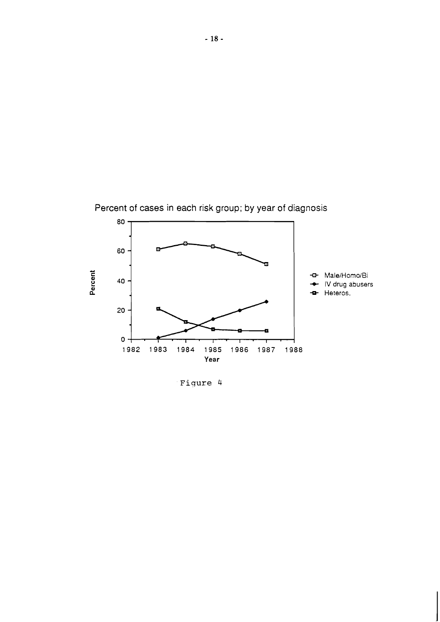

**Fiqure** 4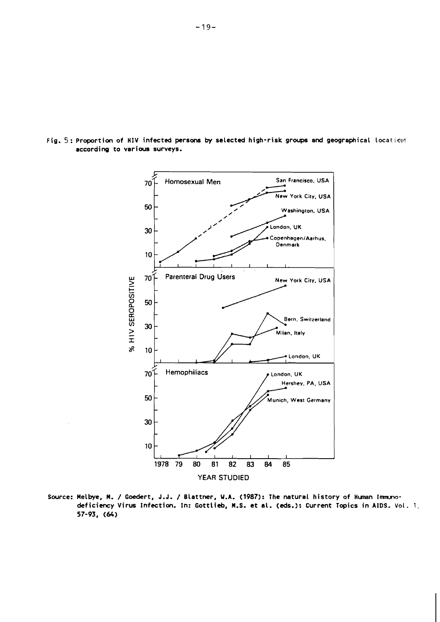

Fig. 5: Proportion of HIV infected persons by selected high-risk groups and geographical location according to various surveys.

Source: Melbye, M. / Goedert, J.J. / Blattner, W.A. (1987): The natural history of Human Immunodeficiency Virus Infection. In: Gottlieb, M.S. et al. (eds.): Current Topics in AIDS. Vol. 1, 57-93, (64)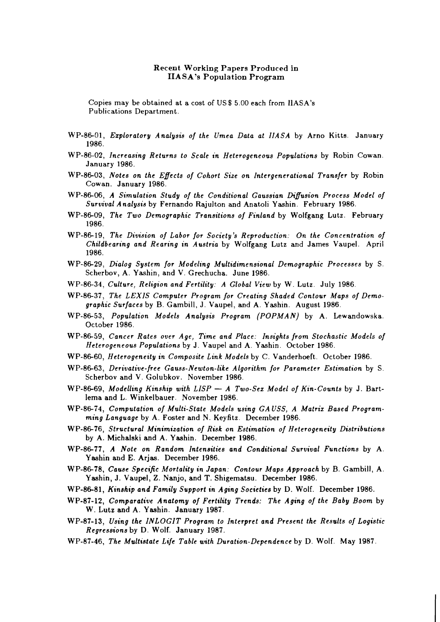#### Recent Working Papers Produced in IIASA's Population Program

Copies may be obtained at a cost of US \$ 5.00 each from IlASA's Publications Department.

- WP-86-01, *Ezploratory Analysis of the Umea Data at IIASA* by Arno Kitts. January 1986.
- WP-86-02, *Increasing Returns to Scale in Heterogeneous Populations* by Robin Cowan January 1986.
- WP-86-03, *Notes on the Efects of Cohort Size on Intergenerational Transfer* by Robin Cowan. January 1986.
- WP-86-06, *A Simulation Study of the Conditional Gaussian Diflusion Process Model of Survival Analysis* by Fernando Rajulton and Anatoli Yashin. February 1986.
- WP-86-09, *The Two Demographic Transitions of Finland* by Wolfgang Lutz. February 1986.
- WP-86-19, *The Division of Labor for Society's Reproduction: On the Concentration of Childbearing and Rearing in Austria* by Wolfgang Lutz and James Vaupel. April 1986.
- WP-86-29, *Dialog System for Modeling Multidimensional Demographic Processes* by *S.*  Scherbov, A. Yashin, and V. Grechucha. June 1986.
- WP-86-34, *Culture, Religion and Fertility: A Global View* by W. Lutz. July 1986
- WP-86-37, *The LEXIS Computer Program for Creating Shaded Contour Maps of Demographic Surfaces* by *B.* Gambill, J. Vaupel, and A. Yashin. August 1986.
- WP-86-53, *Population Models Analysis Program (POPMA N)* by A. Lewandowska. October 1986.
- WP-86-59, *Cancer Rates over Age, Time and Place: Insights from Stochastic Models of Heterogeneous Populations* by J. Vaupel and A. Yashin. October 1986.
- WP-86-60, *Heterogeneity in Composite Link Models* by C. Vanderhoeft. October 1986.
- WP-86-63, *Derivative-free Gauss-Newton-like Algorithm for Parameter Estimation* by *S.*  Scherbov and V. Golubkov. November 1986.
- WP-86-69, *Modelling Kinship with LISP A Two-Sex Model of Kin-Counts* by J. Bartlema and L. Winkelbauer. November 1986.
- WP-86-74, *Computation of Multi-State Models using GA USS, A Matriz Based Programming Language* by A. Foster and N. Keyfitz. December 1986.
- WP-86-76, *Structural Minimization of Risk on Estimation of Heterogeneity Distributions*  by A. Michalski and A. Y ashin. December 1986.
- WP-86-77, *A Note on Random Intensities and Conditional Survival Functions* by A. Yashin and E. Arjas. December 1986.
- WP-86-78, *Cause Specific Mortality in Japan: Contour Maps Approach* by *B.* Gambill, A. Yashin, J. Vaupel, Z. Nanjo, and T. Shigematsu. December 1986.
- WP-86-81, *Kinship and Family Support in Aging Societies* by D. Wolf. December 1986.
- WP-87-12, *Comparative Anatomy of Fertility Trends: The Aging of the Baby Boom* by W. Lutz and A. Yashin. January 1987.
- WP-87-13, *Using the INLOGIT Program to Interpret and Present the Results of Logistic Regressions* by D. Wolf. January 1987.
- WP-87-46, *The Multistate Life Table with Duration-Dependence* by D. Wolf. May 1987